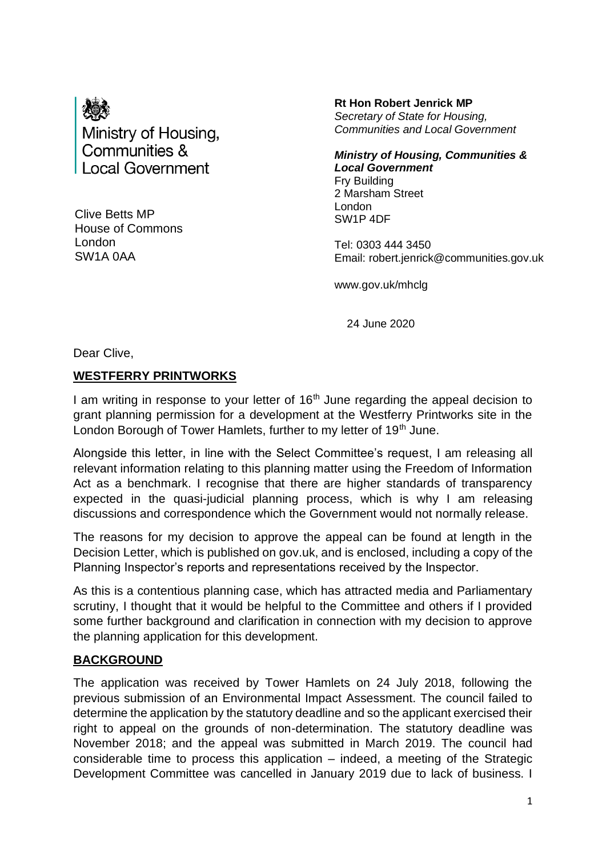

Clive Betts MP House of Commons London SW1A 0AA

**Rt Hon Robert Jenrick MP** *Secretary of State for Housing, Communities and Local Government*

*Ministry of Housing, Communities & Local Government* Fry Building 2 Marsham Street London SW1P 4DF

Tel: 0303 444 3450 Email: robert.jenrick@communities.gov.uk

www.gov.uk/mhclg

24 June 2020

Dear Clive,

#### **WESTFERRY PRINTWORKS**

I am writing in response to your letter of  $16<sup>th</sup>$  June regarding the appeal decision to grant planning permission for a development at the Westferry Printworks site in the London Borough of Tower Hamlets, further to my letter of 19<sup>th</sup> June.

Alongside this letter, in line with the Select Committee's request, I am releasing all relevant information relating to this planning matter using the Freedom of Information Act as a benchmark. I recognise that there are higher standards of transparency expected in the quasi-judicial planning process, which is why I am releasing discussions and correspondence which the Government would not normally release.

The reasons for my decision to approve the appeal can be found at length in the Decision Letter, which is published on gov.uk, and is enclosed, including a copy of the Planning Inspector's reports and representations received by the Inspector.

As this is a contentious planning case, which has attracted media and Parliamentary scrutiny, I thought that it would be helpful to the Committee and others if I provided some further background and clarification in connection with my decision to approve the planning application for this development.

## **BACKGROUND**

The application was received by Tower Hamlets on 24 July 2018, following the previous submission of an Environmental Impact Assessment. The council failed to determine the application by the statutory deadline and so the applicant exercised their right to appeal on the grounds of non-determination. The statutory deadline was November 2018; and the appeal was submitted in March 2019. The council had considerable time to process this application – indeed, a meeting of the Strategic Development Committee was cancelled in January 2019 due to lack of business. I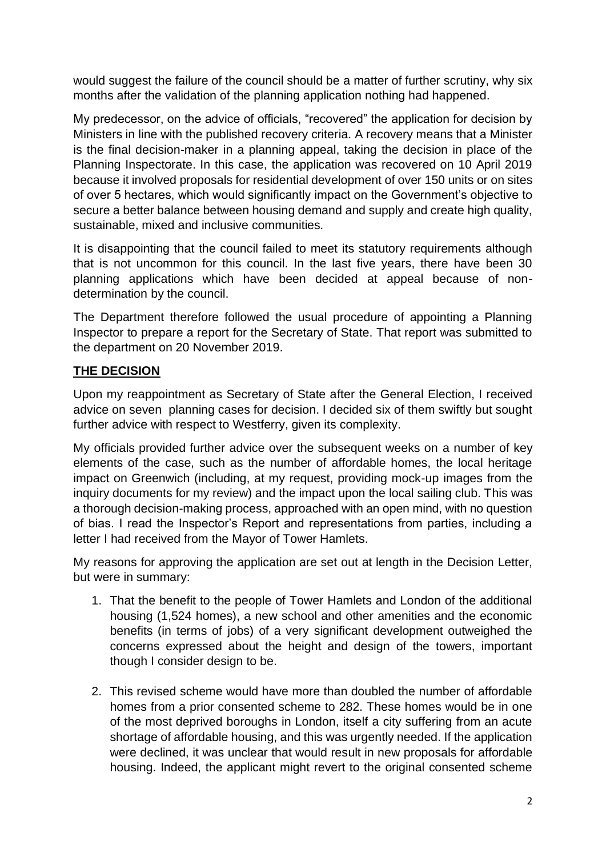would suggest the failure of the council should be a matter of further scrutiny, why six months after the validation of the planning application nothing had happened.

My predecessor, on the advice of officials, "recovered" the application for decision by Ministers in line with the published recovery criteria. A recovery means that a Minister is the final decision-maker in a planning appeal, taking the decision in place of the Planning Inspectorate. In this case, the application was recovered on 10 April 2019 because it involved proposals for residential development of over 150 units or on sites of over 5 hectares, which would significantly impact on the Government's objective to secure a better balance between housing demand and supply and create high quality, sustainable, mixed and inclusive communities.

It is disappointing that the council failed to meet its statutory requirements although that is not uncommon for this council. In the last five years, there have been 30 planning applications which have been decided at appeal because of nondetermination by the council.

The Department therefore followed the usual procedure of appointing a Planning Inspector to prepare a report for the Secretary of State. That report was submitted to the department on 20 November 2019.

## **THE DECISION**

Upon my reappointment as Secretary of State after the General Election, I received advice on seven planning cases for decision. I decided six of them swiftly but sought further advice with respect to Westferry, given its complexity.

My officials provided further advice over the subsequent weeks on a number of key elements of the case, such as the number of affordable homes, the local heritage impact on Greenwich (including, at my request, providing mock-up images from the inquiry documents for my review) and the impact upon the local sailing club. This was a thorough decision-making process, approached with an open mind, with no question of bias. I read the Inspector's Report and representations from parties, including a letter I had received from the Mayor of Tower Hamlets.

My reasons for approving the application are set out at length in the Decision Letter, but were in summary:

- 1. That the benefit to the people of Tower Hamlets and London of the additional housing (1,524 homes), a new school and other amenities and the economic benefits (in terms of jobs) of a very significant development outweighed the concerns expressed about the height and design of the towers, important though I consider design to be.
- 2. This revised scheme would have more than doubled the number of affordable homes from a prior consented scheme to 282. These homes would be in one of the most deprived boroughs in London, itself a city suffering from an acute shortage of affordable housing, and this was urgently needed. If the application were declined, it was unclear that would result in new proposals for affordable housing. Indeed, the applicant might revert to the original consented scheme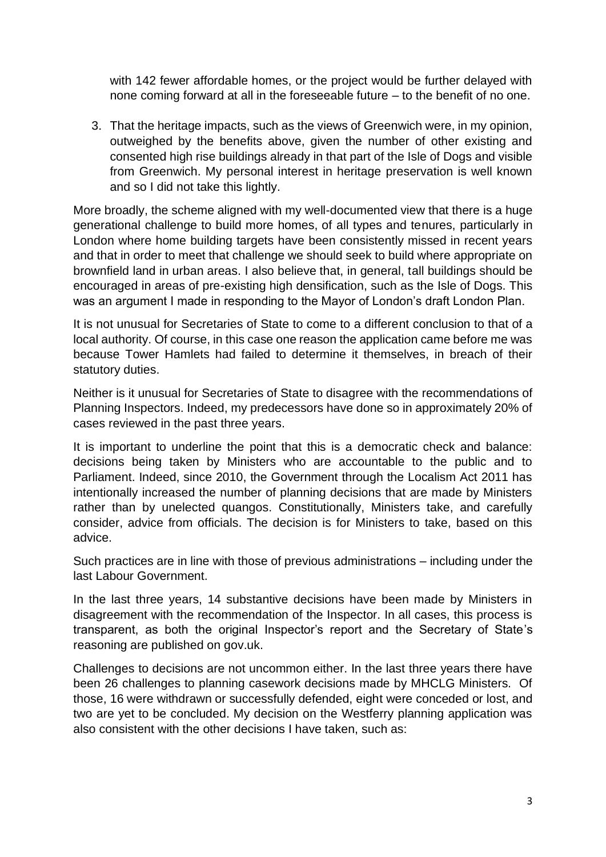with 142 fewer affordable homes, or the project would be further delayed with none coming forward at all in the foreseeable future – to the benefit of no one.

3. That the heritage impacts, such as the views of Greenwich were, in my opinion, outweighed by the benefits above, given the number of other existing and consented high rise buildings already in that part of the Isle of Dogs and visible from Greenwich. My personal interest in heritage preservation is well known and so I did not take this lightly.

More broadly, the scheme aligned with my well-documented view that there is a huge generational challenge to build more homes, of all types and tenures, particularly in London where home building targets have been consistently missed in recent years and that in order to meet that challenge we should seek to build where appropriate on brownfield land in urban areas. I also believe that, in general, tall buildings should be encouraged in areas of pre-existing high densification, such as the Isle of Dogs. This was an argument I made in responding to the Mayor of London's draft London Plan.

It is not unusual for Secretaries of State to come to a different conclusion to that of a local authority. Of course, in this case one reason the application came before me was because Tower Hamlets had failed to determine it themselves, in breach of their statutory duties.

Neither is it unusual for Secretaries of State to disagree with the recommendations of Planning Inspectors. Indeed, my predecessors have done so in approximately 20% of cases reviewed in the past three years.

It is important to underline the point that this is a democratic check and balance: decisions being taken by Ministers who are accountable to the public and to Parliament. Indeed, since 2010, the Government through the Localism Act 2011 has intentionally increased the number of planning decisions that are made by Ministers rather than by unelected quangos. Constitutionally, Ministers take, and carefully consider, advice from officials. The decision is for Ministers to take, based on this advice.

Such practices are in line with those of previous administrations – including under the last Labour Government.

In the last three years, 14 substantive decisions have been made by Ministers in disagreement with the recommendation of the Inspector. In all cases, this process is transparent, as both the original Inspector's report and the Secretary of State's reasoning are published on gov.uk.

Challenges to decisions are not uncommon either. In the last three years there have been 26 challenges to planning casework decisions made by MHCLG Ministers. Of those, 16 were withdrawn or successfully defended, eight were conceded or lost, and two are yet to be concluded. My decision on the Westferry planning application was also consistent with the other decisions I have taken, such as: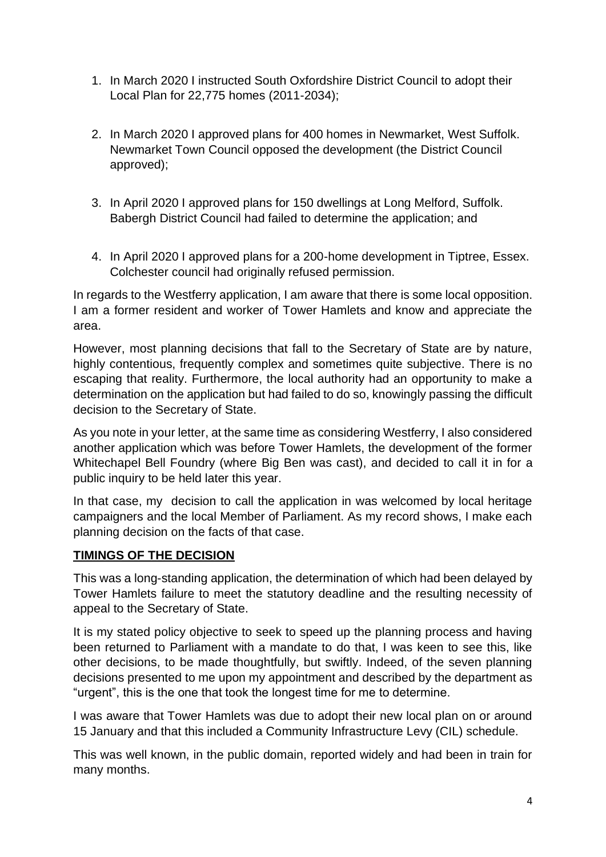- 1. In March 2020 I instructed South Oxfordshire District Council to adopt their Local Plan for 22,775 homes (2011-2034);
- 2. In March 2020 I approved plans for 400 homes in Newmarket, West Suffolk. Newmarket Town Council opposed the development (the District Council approved);
- 3. In April 2020 I approved plans for 150 dwellings at Long Melford, Suffolk. Babergh District Council had failed to determine the application; and
- 4. In April 2020 I approved plans for a 200-home development in Tiptree, Essex. Colchester council had originally refused permission.

In regards to the Westferry application, I am aware that there is some local opposition. I am a former resident and worker of Tower Hamlets and know and appreciate the area.

However, most planning decisions that fall to the Secretary of State are by nature, highly contentious, frequently complex and sometimes quite subjective. There is no escaping that reality. Furthermore, the local authority had an opportunity to make a determination on the application but had failed to do so, knowingly passing the difficult decision to the Secretary of State.

As you note in your letter, at the same time as considering Westferry, I also considered another application which was before Tower Hamlets, the development of the former Whitechapel Bell Foundry (where Big Ben was cast), and decided to call it in for a public inquiry to be held later this year.

In that case, my decision to call the application in was welcomed by local heritage campaigners and the local Member of Parliament. As my record shows, I make each planning decision on the facts of that case.

## **TIMINGS OF THE DECISION**

This was a long-standing application, the determination of which had been delayed by Tower Hamlets failure to meet the statutory deadline and the resulting necessity of appeal to the Secretary of State.

It is my stated policy objective to seek to speed up the planning process and having been returned to Parliament with a mandate to do that, I was keen to see this, like other decisions, to be made thoughtfully, but swiftly. Indeed, of the seven planning decisions presented to me upon my appointment and described by the department as "urgent", this is the one that took the longest time for me to determine.

I was aware that Tower Hamlets was due to adopt their new local plan on or around 15 January and that this included a Community Infrastructure Levy (CIL) schedule.

This was well known, in the public domain, reported widely and had been in train for many months.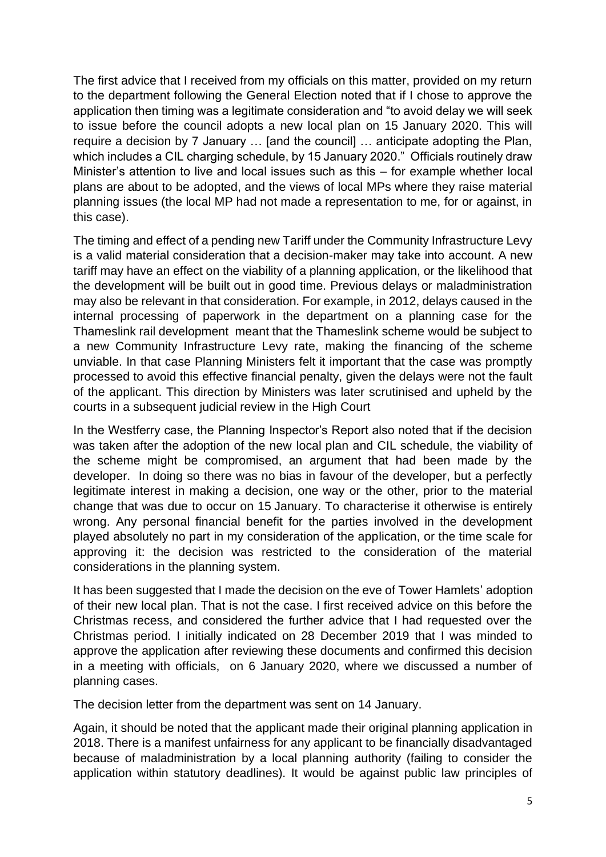The first advice that I received from my officials on this matter, provided on my return to the department following the General Election noted that if I chose to approve the application then timing was a legitimate consideration and "to avoid delay we will seek to issue before the council adopts a new local plan on 15 January 2020. This will require a decision by 7 January … [and the council] … anticipate adopting the Plan, which includes a CIL charging schedule, by 15 January 2020." Officials routinely draw Minister's attention to live and local issues such as this – for example whether local plans are about to be adopted, and the views of local MPs where they raise material planning issues (the local MP had not made a representation to me, for or against, in this case).

The timing and effect of a pending new Tariff under the Community Infrastructure Levy is a valid material consideration that a decision-maker may take into account. A new tariff may have an effect on the viability of a planning application, or the likelihood that the development will be built out in good time. Previous delays or maladministration may also be relevant in that consideration. For example, in 2012, delays caused in the internal processing of paperwork in the department on a planning case for the Thameslink rail development meant that the Thameslink scheme would be subject to a new Community Infrastructure Levy rate, making the financing of the scheme unviable. In that case Planning Ministers felt it important that the case was promptly processed to avoid this effective financial penalty, given the delays were not the fault of the applicant. This direction by Ministers was later scrutinised and upheld by the courts in a subsequent judicial review in the High Court

In the Westferry case, the Planning Inspector's Report also noted that if the decision was taken after the adoption of the new local plan and CIL schedule, the viability of the scheme might be compromised, an argument that had been made by the developer. In doing so there was no bias in favour of the developer, but a perfectly legitimate interest in making a decision, one way or the other, prior to the material change that was due to occur on 15 January. To characterise it otherwise is entirely wrong. Any personal financial benefit for the parties involved in the development played absolutely no part in my consideration of the application, or the time scale for approving it: the decision was restricted to the consideration of the material considerations in the planning system.

It has been suggested that I made the decision on the eve of Tower Hamlets' adoption of their new local plan. That is not the case. I first received advice on this before the Christmas recess, and considered the further advice that I had requested over the Christmas period. I initially indicated on 28 December 2019 that I was minded to approve the application after reviewing these documents and confirmed this decision in a meeting with officials, on 6 January 2020, where we discussed a number of planning cases.

The decision letter from the department was sent on 14 January.

Again, it should be noted that the applicant made their original planning application in 2018. There is a manifest unfairness for any applicant to be financially disadvantaged because of maladministration by a local planning authority (failing to consider the application within statutory deadlines). It would be against public law principles of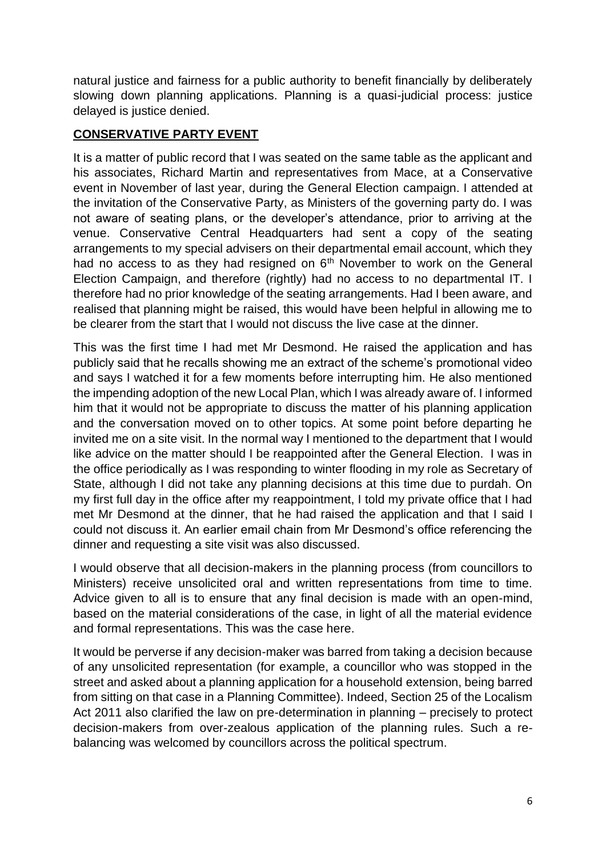natural justice and fairness for a public authority to benefit financially by deliberately slowing down planning applications. Planning is a quasi-judicial process: justice delayed is justice denied.

## **CONSERVATIVE PARTY EVENT**

It is a matter of public record that I was seated on the same table as the applicant and his associates, Richard Martin and representatives from Mace, at a Conservative event in November of last year, during the General Election campaign. I attended at the invitation of the Conservative Party, as Ministers of the governing party do. I was not aware of seating plans, or the developer's attendance, prior to arriving at the venue. Conservative Central Headquarters had sent a copy of the seating arrangements to my special advisers on their departmental email account, which they had no access to as they had resigned on  $6<sup>th</sup>$  November to work on the General Election Campaign, and therefore (rightly) had no access to no departmental IT. I therefore had no prior knowledge of the seating arrangements. Had I been aware, and realised that planning might be raised, this would have been helpful in allowing me to be clearer from the start that I would not discuss the live case at the dinner.

This was the first time I had met Mr Desmond. He raised the application and has publicly said that he recalls showing me an extract of the scheme's promotional video and says I watched it for a few moments before interrupting him. He also mentioned the impending adoption of the new Local Plan, which I was already aware of. I informed him that it would not be appropriate to discuss the matter of his planning application and the conversation moved on to other topics. At some point before departing he invited me on a site visit. In the normal way I mentioned to the department that I would like advice on the matter should I be reappointed after the General Election. I was in the office periodically as I was responding to winter flooding in my role as Secretary of State, although I did not take any planning decisions at this time due to purdah. On my first full day in the office after my reappointment, I told my private office that I had met Mr Desmond at the dinner, that he had raised the application and that I said I could not discuss it. An earlier email chain from Mr Desmond's office referencing the dinner and requesting a site visit was also discussed.

I would observe that all decision-makers in the planning process (from councillors to Ministers) receive unsolicited oral and written representations from time to time. Advice given to all is to ensure that any final decision is made with an open-mind, based on the material considerations of the case, in light of all the material evidence and formal representations. This was the case here.

It would be perverse if any decision-maker was barred from taking a decision because of any unsolicited representation (for example, a councillor who was stopped in the street and asked about a planning application for a household extension, being barred from sitting on that case in a Planning Committee). Indeed, Section 25 of the Localism Act 2011 also clarified the law on pre-determination in planning – precisely to protect decision-makers from over-zealous application of the planning rules. Such a rebalancing was welcomed by councillors across the political spectrum.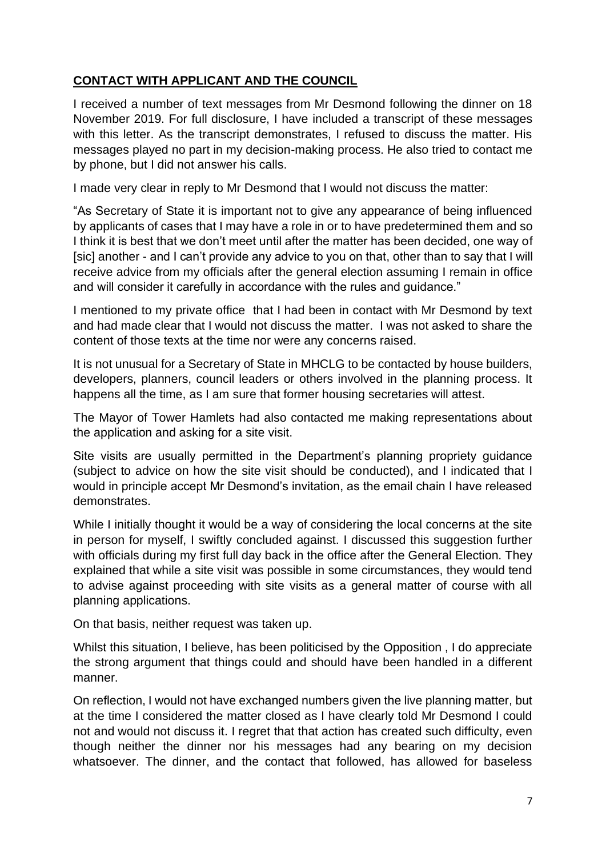# **CONTACT WITH APPLICANT AND THE COUNCIL**

I received a number of text messages from Mr Desmond following the dinner on 18 November 2019. For full disclosure, I have included a transcript of these messages with this letter. As the transcript demonstrates, I refused to discuss the matter. His messages played no part in my decision-making process. He also tried to contact me by phone, but I did not answer his calls.

I made very clear in reply to Mr Desmond that I would not discuss the matter:

"As Secretary of State it is important not to give any appearance of being influenced by applicants of cases that I may have a role in or to have predetermined them and so I think it is best that we don't meet until after the matter has been decided, one way of [sic] another - and I can't provide any advice to you on that, other than to say that I will receive advice from my officials after the general election assuming I remain in office and will consider it carefully in accordance with the rules and guidance."

I mentioned to my private office that I had been in contact with Mr Desmond by text and had made clear that I would not discuss the matter. I was not asked to share the content of those texts at the time nor were any concerns raised.

It is not unusual for a Secretary of State in MHCLG to be contacted by house builders, developers, planners, council leaders or others involved in the planning process. It happens all the time, as I am sure that former housing secretaries will attest.

The Mayor of Tower Hamlets had also contacted me making representations about the application and asking for a site visit.

Site visits are usually permitted in the Department's planning propriety guidance (subject to advice on how the site visit should be conducted), and I indicated that I would in principle accept Mr Desmond's invitation, as the email chain I have released demonstrates.

While I initially thought it would be a way of considering the local concerns at the site in person for myself, I swiftly concluded against. I discussed this suggestion further with officials during my first full day back in the office after the General Election. They explained that while a site visit was possible in some circumstances, they would tend to advise against proceeding with site visits as a general matter of course with all planning applications.

On that basis, neither request was taken up.

Whilst this situation, I believe, has been politicised by the Opposition , I do appreciate the strong argument that things could and should have been handled in a different manner.

On reflection, I would not have exchanged numbers given the live planning matter, but at the time I considered the matter closed as I have clearly told Mr Desmond I could not and would not discuss it. I regret that that action has created such difficulty, even though neither the dinner nor his messages had any bearing on my decision whatsoever. The dinner, and the contact that followed, has allowed for baseless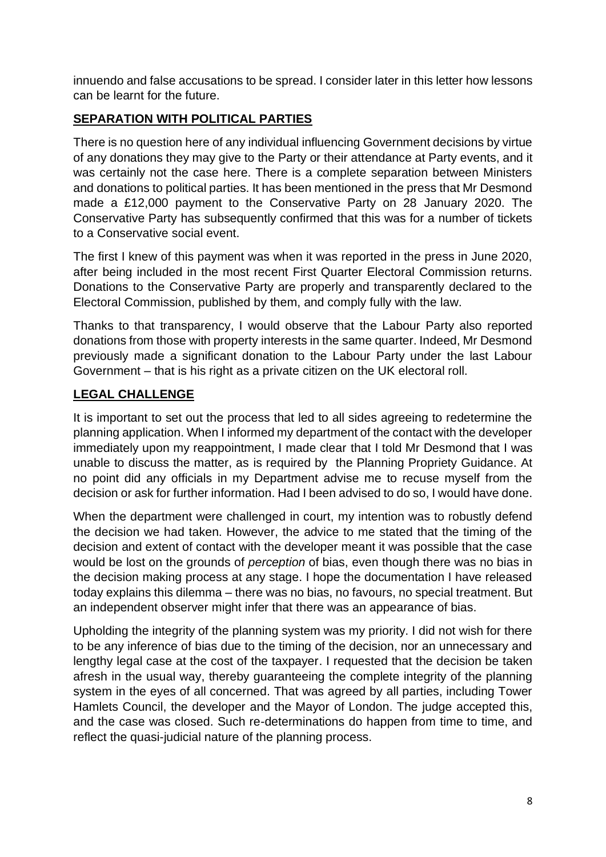innuendo and false accusations to be spread. I consider later in this letter how lessons can be learnt for the future.

# **SEPARATION WITH POLITICAL PARTIES**

There is no question here of any individual influencing Government decisions by virtue of any donations they may give to the Party or their attendance at Party events, and it was certainly not the case here. There is a complete separation between Ministers and donations to political parties. It has been mentioned in the press that Mr Desmond made a £12,000 payment to the Conservative Party on 28 January 2020. The Conservative Party has subsequently confirmed that this was for a number of tickets to a Conservative social event.

The first I knew of this payment was when it was reported in the press in June 2020, after being included in the most recent First Quarter Electoral Commission returns. Donations to the Conservative Party are properly and transparently declared to the Electoral Commission, published by them, and comply fully with the law.

Thanks to that transparency, I would observe that the Labour Party also reported donations from those with property interests in the same quarter. Indeed, Mr Desmond previously made a significant donation to the Labour Party under the last Labour Government – that is his right as a private citizen on the UK electoral roll.

# **LEGAL CHALLENGE**

It is important to set out the process that led to all sides agreeing to redetermine the planning application. When I informed my department of the contact with the developer immediately upon my reappointment, I made clear that I told Mr Desmond that I was unable to discuss the matter, as is required by the Planning Propriety Guidance. At no point did any officials in my Department advise me to recuse myself from the decision or ask for further information. Had I been advised to do so, I would have done.

When the department were challenged in court, my intention was to robustly defend the decision we had taken. However, the advice to me stated that the timing of the decision and extent of contact with the developer meant it was possible that the case would be lost on the grounds of *perception* of bias, even though there was no bias in the decision making process at any stage. I hope the documentation I have released today explains this dilemma – there was no bias, no favours, no special treatment. But an independent observer might infer that there was an appearance of bias.

Upholding the integrity of the planning system was my priority. I did not wish for there to be any inference of bias due to the timing of the decision, nor an unnecessary and lengthy legal case at the cost of the taxpayer. I requested that the decision be taken afresh in the usual way, thereby guaranteeing the complete integrity of the planning system in the eyes of all concerned. That was agreed by all parties, including Tower Hamlets Council, the developer and the Mayor of London. The judge accepted this, and the case was closed. Such re-determinations do happen from time to time, and reflect the quasi-judicial nature of the planning process.